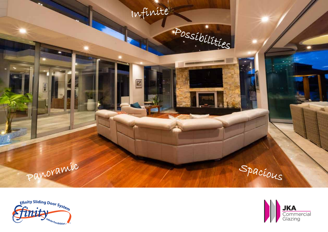



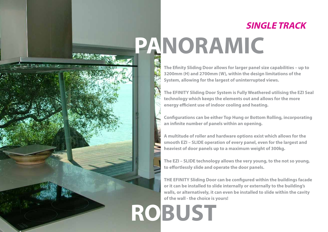### **SINGLE TRACK PANORAMIC**

**The Efinity Sliding Door allows for larger panel size capabilities – up to 3200mm (H) and 2700mm (W), within the design limitations of the System, allowing for the largest of uninterrupted views.**

**The EFINITY Sliding Door System is Fully Weathered utilising the EZI Seal technology which keeps the elements out and allows for the more energy efficient use of indoor cooling and heating.**

**Configurations can be either Top Hung or Bottom Rolling, incorporating an infinite number of panels within an opening.**

**A multitude of roller and hardware options exist which allows for the smooth EZI – SLIDE operation of every panel, even for the largest and heaviest of door panels up to a maximum weight of 300kg.** 

**The EZI – SLIDE technology allows the very young, to the not so young, to effortlessly slide and operate the door panels.**

**THE EFINITY Sliding Door can be configured within the buildings facade or it can be installed to slide internally or externally to the building's walls, or alternatively, it can even be installed to slide within the cavity of the wall - the choice is yours!**

**ROBUST**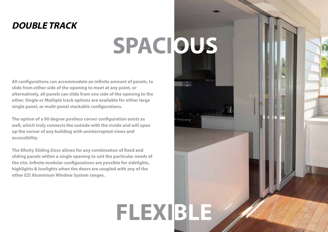### **DOUBLE TRACK**

## **SPACIOUS**

**All configurations can accommodate an infinite amount of panels, to slide from either side of the opening to meet at any point, or alternatively, all panels can slide from one side of the opening to the other. Single or Multiple track options are available for either large single panel, or multi-panel stackable configurations.** 

**The option of a 90 degree postless corner configuration exists as well, which truly connects the outside with the inside and will open up the corner of any building with uninterrupted views and accessibility.**

**The Efinity Sliding Door allows for any combination of fixed and sliding panels within a single opening to suit the particular needs of the site. Infinite modular configurations are possible for sidelights, highlights & lowlights when the doors are coupled with any of the other EZI Aluminium Window System ranges.**

# **FLEXIBLE**